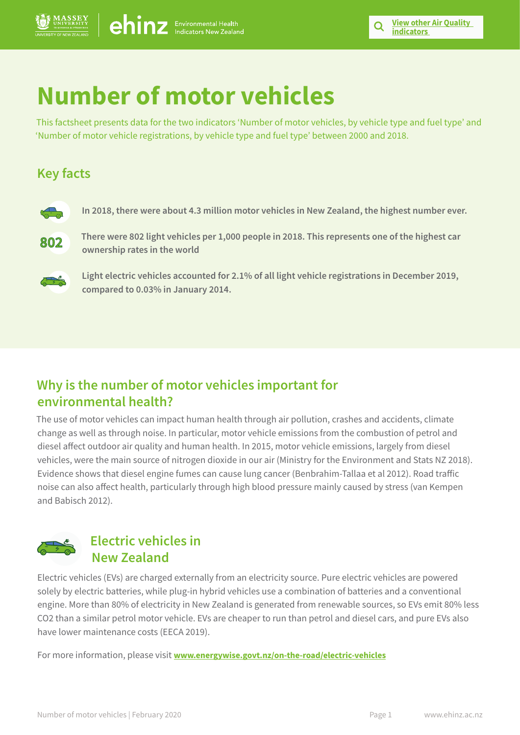# **Number of motor vehicles**

This factsheet presents data for the two indicators 'Number of motor vehicles, by vehicle type and fuel type' and 'Number of motor vehicle registrations, by vehicle type and fuel type' between 2000 and 2018.

# **Key facts**



**In 2018, there were about 4.3 million motor vehicles in New Zealand, the highest number ever.** 



**There were 802 light vehicles per 1,000 people in 2018. This represents one of the highest car ownership rates in the world** 



**Light electric vehicles accounted for 2.1% of all light vehicle registrations in December 2019, compared to 0.03% in January 2014.**

# **Why is the number of motor vehicles important for environmental health?**

The use of motor vehicles can impact human health through air pollution, crashes and accidents, climate change as well as through noise. In particular, motor vehicle emissions from the combustion of petrol and diesel affect outdoor air quality and human health. In 2015, motor vehicle emissions, largely from diesel vehicles, were the main source of nitrogen dioxide in our air (Ministry for the Environment and Stats NZ 2018). Evidence shows that diesel engine fumes can cause lung cancer (Benbrahim-Tallaa et al 2012). Road traffic noise can also affect health, particularly through high blood pressure mainly caused by stress (van Kempen and Babisch 2012).



# **Electric vehicles in New Zealand**

Electric vehicles (EVs) are charged externally from an electricity source. Pure electric vehicles are powered solely by electric batteries, while plug-in hybrid vehicles use a combination of batteries and a conventional engine. More than 80% of electricity in New Zealand is generated from renewable sources, so EVs emit 80% less CO2 than a similar petrol motor vehicle. EVs are cheaper to run than petrol and diesel cars, and pure EVs also have lower maintenance costs (EECA 2019).

For more information, please visit **[www.energywise.govt.nz/on-the-road/electric-vehicles](https://www.energywise.govt.nz/on-the-road/electric-vehicles/)**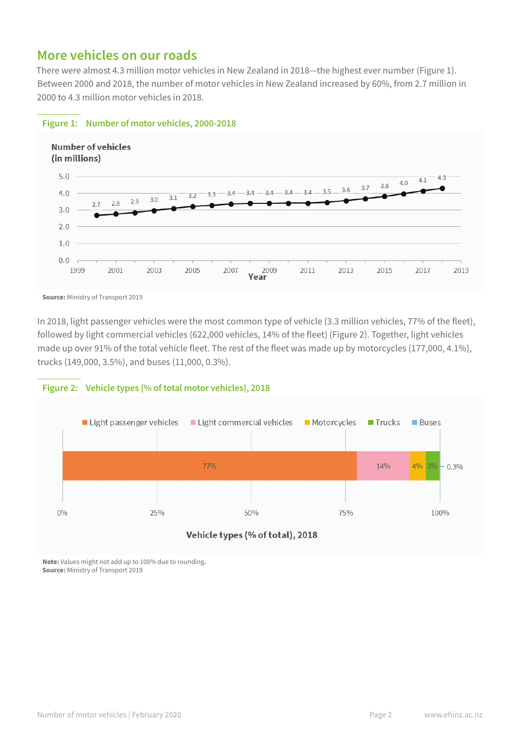### **More vehicles on our roads**

There were almost 4.3 million motor vehicles in New Zealand in 2018—the highest ever number (Figure 1). Between 2000 and 2018, the number of motor vehicles in New Zealand increased by 60%, from 2.7 million in 2000 to 4.3 million motor vehicles in 2018.



#### **Figure 1: Number of motor vehicles, 2000-2018**

In 2018, light passenger vehicles were the most common type of vehicle (3.3 million vehicles, 77% of the fleet), followed by light commercial vehicles (622,000 vehicles, 14% of the fleet) (Figure 2). Together, light vehicles made up over 91% of the total vehicle fleet. The rest of the fleet was made up by motorcycles (177,000, 4.1%), trucks (149,000, 3.5%), and buses (11,000, 0.3%).



**Note:** Values might not add up to 100% due to rounding**. Source:** Ministry of Transport 2019

**Source:** Ministry of Transport 2019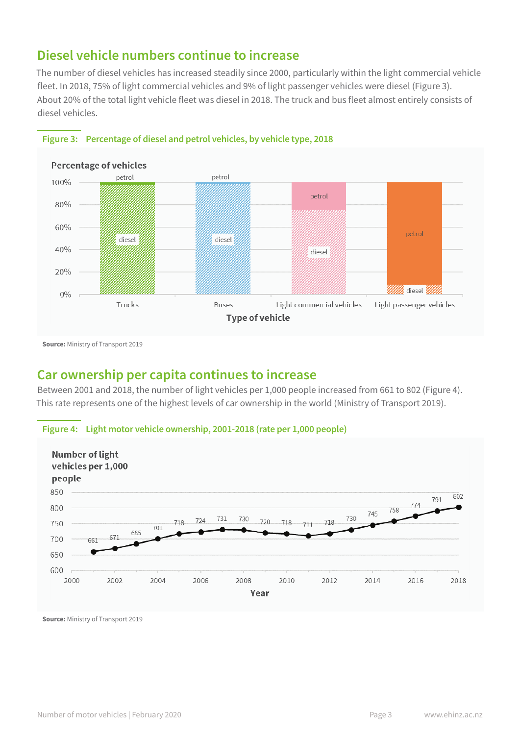### **Diesel vehicle numbers continue to increase**

The number of diesel vehicles has increased steadily since 2000, particularly within the light commercial vehicle fleet. In 2018, 75% of light commercial vehicles and 9% of light passenger vehicles were diesel (Figure 3). About 20% of the total light vehicle fleet was diesel in 2018. The truck and bus fleet almost entirely consists of diesel vehicles.





**Source:** Ministry of Transport 2019

## **Car ownership per capita continues to increase**

Between 2001 and 2018, the number of light vehicles per 1,000 people increased from 661 to 802 (Figure 4). This rate represents one of the highest levels of car ownership in the world (Ministry of Transport 2019).





**Source:** Ministry of Transport 2019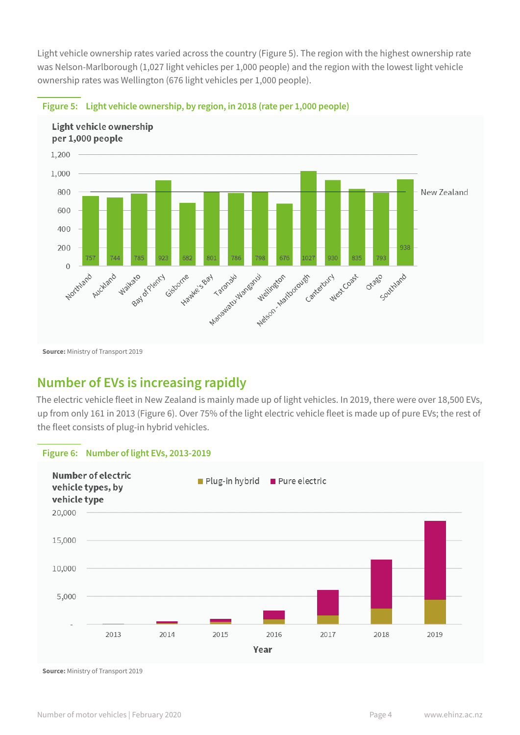Light vehicle ownership rates varied across the country (Figure 5). The region with the highest ownership rate was Nelson-Marlborough (1,027 light vehicles per 1,000 people) and the region with the lowest light vehicle ownership rates was Wellington (676 light vehicles per 1,000 people).



#### **Figure 5: Light vehicle ownership, by region, in 2018 (rate per 1,000 people)**

**Source:** Ministry of Transport 2019

## **Number of EVs is increasing rapidly**

The electric vehicle fleet in New Zealand is mainly made up of light vehicles. In 2019, there were over 18,500 EVs, up from only 161 in 2013 (Figure 6). Over 75% of the light electric vehicle fleet is made up of pure EVs; the rest of the fleet consists of plug-in hybrid vehicles.

#### **Figure 6: Number of light EVs, 2013-2019**



**Source:** Ministry of Transport 2019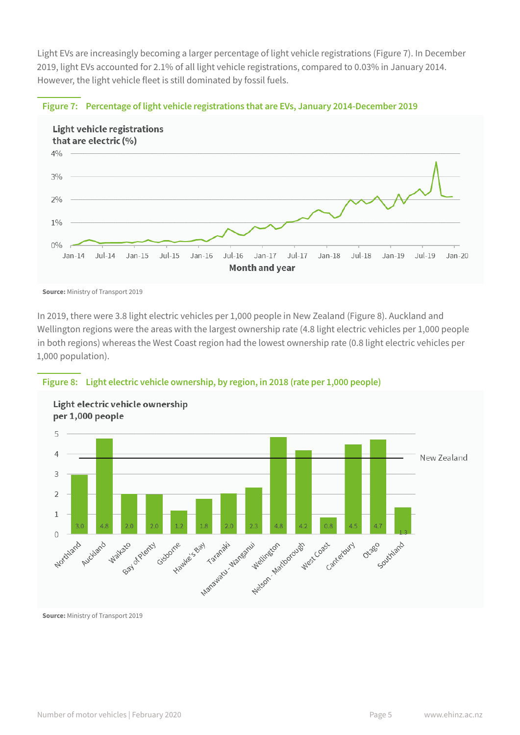Light EVs are increasingly becoming a larger percentage of light vehicle registrations (Figure 7). In December 2019, light EVs accounted for 2.1% of all light vehicle registrations, compared to 0.03% in January 2014. However, the light vehicle fleet is still dominated by fossil fuels.



#### **Figure 7: Percentage of light vehicle registrations that are EVs, January 2014-December 2019**

In 2019, there were 3.8 light electric vehicles per 1,000 people in New Zealand (Figure 8). Auckland and Wellington regions were the areas with the largest ownership rate (4.8 light electric vehicles per 1,000 people in both regions) whereas the West Coast region had the lowest ownership rate (0.8 light electric vehicles per 1,000 population).





**Source:** Ministry of Transport 2019

**Source:** Ministry of Transport 2019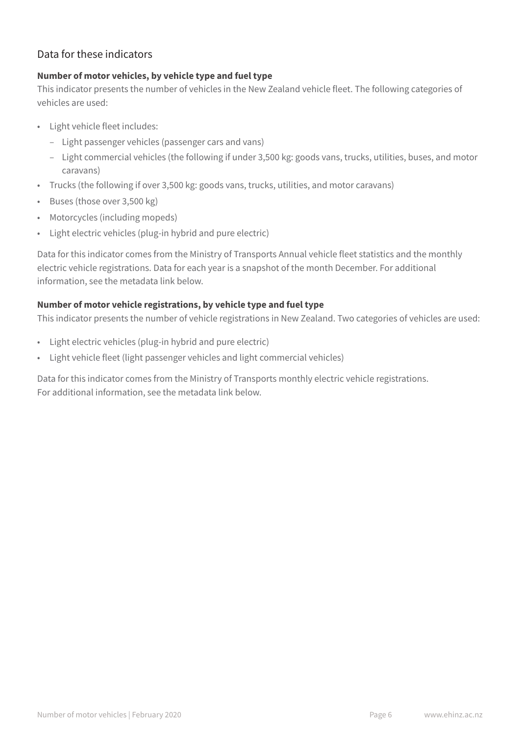### Data for these indicators

#### **Number of motor vehicles, by vehicle type and fuel type**

This indicator presents the number of vehicles in the New Zealand vehicle fleet. The following categories of vehicles are used:

- Light vehicle fleet includes:
	- Light passenger vehicles (passenger cars and vans)
	- Light commercial vehicles (the following if under 3,500 kg: goods vans, trucks, utilities, buses, and motor caravans)
- Trucks (the following if over 3,500 kg: goods vans, trucks, utilities, and motor caravans)
- Buses (those over 3,500 kg)
- Motorcycles (including mopeds)
- Light electric vehicles (plug-in hybrid and pure electric)

Data for this indicator comes from the Ministry of Transports Annual vehicle fleet statistics and the monthly electric vehicle registrations. Data for each year is a snapshot of the month December. For additional information, see the metadata link below.

#### **Number of motor vehicle registrations, by vehicle type and fuel type**

This indicator presents the number of vehicle registrations in New Zealand. Two categories of vehicles are used:

- Light electric vehicles (plug-in hybrid and pure electric)
- Light vehicle fleet (light passenger vehicles and light commercial vehicles)

Data for this indicator comes from the Ministry of Transports monthly electric vehicle registrations. For additional information, see the metadata link below.